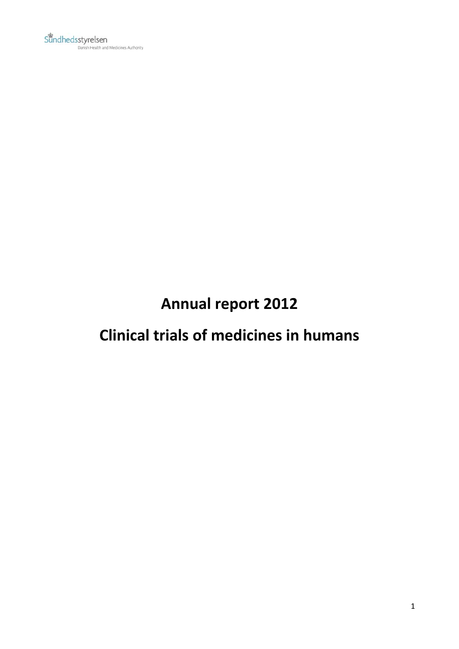# **Annual report 2012**

# **Clinical trials of medicines in humans**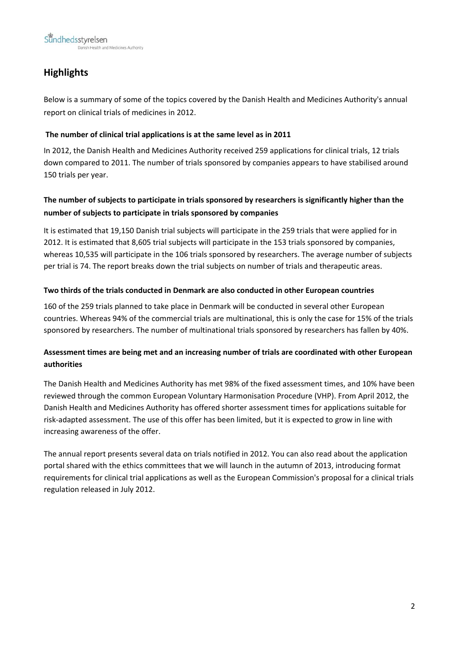# **Highlights**

Below is a summary of some of the topics covered by the Danish Health and Medicines Authority's annual report on clinical trials of medicines in 2012.

#### **The number of clinical trial applications is at the same level as in 2011**

In 2012, the Danish Health and Medicines Authority received 259 applications for clinical trials, 12 trials down compared to 2011. The number of trials sponsored by companies appears to have stabilised around 150 trials per year.

### **The number of subjects to participate in trials sponsored by researchers is significantly higher than the number of subjects to participate in trials sponsored by companies**

It is estimated that 19,150 Danish trial subjects will participate in the 259 trials that were applied for in 2012. It is estimated that 8,605 trial subjects will participate in the 153 trials sponsored by companies, whereas 10,535 will participate in the 106 trials sponsored by researchers. The average number of subjects per trial is 74. The report breaks down the trial subjects on number of trials and therapeutic areas.

#### **Two thirds of the trials conducted in Denmark are also conducted in other European countries**

160 of the 259 trials planned to take place in Denmark will be conducted in several other European countries. Whereas 94% of the commercial trials are multinational, this is only the case for 15% of the trials sponsored by researchers. The number of multinational trials sponsored by researchers has fallen by 40%.

### **Assessment times are being met and an increasing number of trials are coordinated with other European authorities**

The Danish Health and Medicines Authority has met 98% of the fixed assessment times, and 10% have been reviewed through the common European Voluntary Harmonisation Procedure (VHP). From April 2012, the Danish Health and Medicines Authority has offered shorter assessment times for applications suitable for risk‐adapted assessment. The use of this offer has been limited, but it is expected to grow in line with increasing awareness of the offer.

The annual report presents several data on trials notified in 2012. You can also read about the application portal shared with the ethics committees that we will launch in the autumn of 2013, introducing format requirements for clinical trial applications as well as the European Commission's proposal for a clinical trials regulation released in July 2012.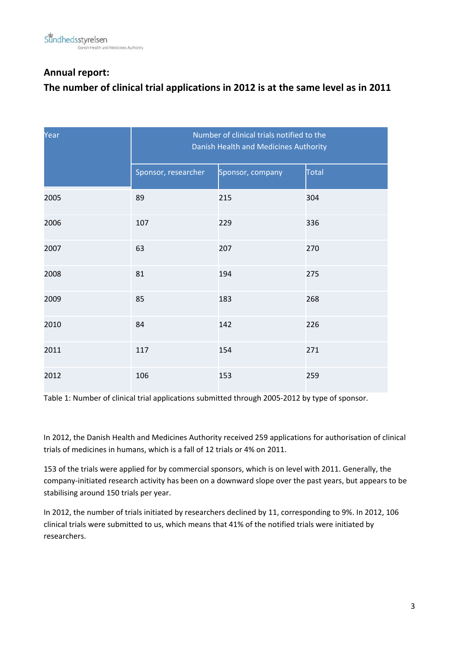### **Annual report:**

### **The number of clinical trial applications in 2012 is at the same level as in 2011**

| Year | Number of clinical trials notified to the<br>Danish Health and Medicines Authority |                  |       |  |
|------|------------------------------------------------------------------------------------|------------------|-------|--|
|      | Sponsor, researcher                                                                | Sponsor, company | Total |  |
| 2005 | 89                                                                                 | 215              | 304   |  |
| 2006 | 107                                                                                | 229              | 336   |  |
| 2007 | 63                                                                                 | 207              | 270   |  |
| 2008 | 81                                                                                 | 194              | 275   |  |
| 2009 | 85                                                                                 | 183              | 268   |  |
| 2010 | 84                                                                                 | 142              | 226   |  |
| 2011 | 117                                                                                | 154              | 271   |  |
| 2012 | 106                                                                                | 153              | 259   |  |

Table 1: Number of clinical trial applications submitted through 2005‐2012 by type of sponsor.

In 2012, the Danish Health and Medicines Authority received 259 applications for authorisation of clinical trials of medicines in humans, which is a fall of 12 trials or 4% on 2011.

153 of the trials were applied for by commercial sponsors, which is on level with 2011. Generally, the company‐initiated research activity has been on a downward slope over the past years, but appears to be stabilising around 150 trials per year.

In 2012, the number of trials initiated by researchers declined by 11, corresponding to 9%. In 2012, 106 clinical trials were submitted to us, which means that 41% of the notified trials were initiated by researchers.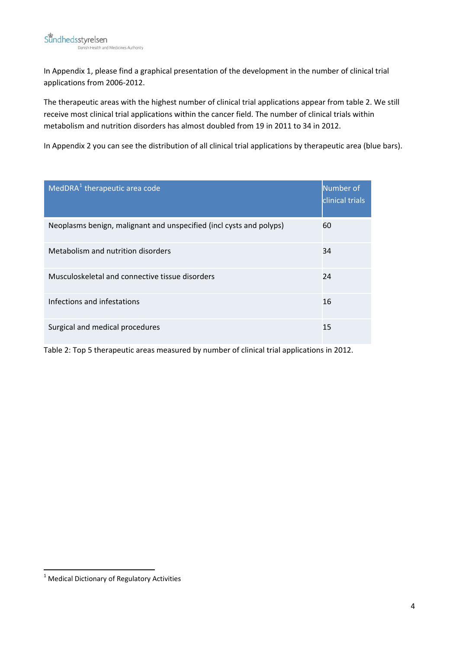In Appendix 1, please find a graphical presentation of the development in the number of clinical trial applications from 2006‐2012.

The therapeutic areas with the highest number of clinical trial applications appear from table 2. We still receive most clinical trial applications within the cancer field. The number of clinical trials within metabolism and nutrition disorders has almost doubled from 19 in 2011 to 34 in 2012.

In Appendix 2 you can see the distribution of all clinical trial applications by therapeutic area (blue bars).

| MedDRA <sup>1</sup> therapeutic area code                           | Number of<br>clinical trials |
|---------------------------------------------------------------------|------------------------------|
| Neoplasms benign, malignant and unspecified (incl cysts and polyps) | 60                           |
| Metabolism and nutrition disorders                                  | 34                           |
| Musculoskeletal and connective tissue disorders                     | 24                           |
| Infections and infestations                                         | 16                           |
| Surgical and medical procedures                                     | 15                           |

Table 2: Top 5 therapeutic areas measured by number of clinical trial applications in 2012.

<span id="page-3-0"></span> $<sup>1</sup>$  Medical Dictionary of Regulatory Activities</sup>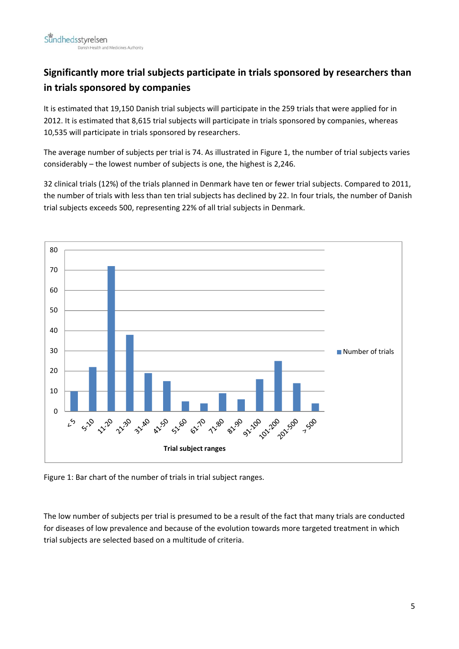# **Significantly more trial subjects participate in trials sponsored by researchers than in trials sponsored by companies**

It is estimated that 19,150 Danish trial subjects will participate in the 259 trials that were applied for in 2012. It is estimated that 8,615 trial subjects will participate in trials sponsored by companies, whereas 10,535 will participate in trials sponsored by researchers.

The average number of subjects per trial is 74. As illustrated in Figure 1, the number of trial subjects varies considerably – the lowest number of subjects is one, the highest is 2,246.

32 clinical trials (12%) of the trials planned in Denmark have ten or fewer trial subjects. Compared to 2011, the number of trials with less than ten trial subjects has declined by 22. In four trials, the number of Danish trial subjects exceeds 500, representing 22% of all trial subjects in Denmark.



Figure 1: Bar chart of the number of trials in trial subject ranges.

The low number of subjects per trial is presumed to be a result of the fact that many trials are conducted for diseases of low prevalence and because of the evolution towards more targeted treatment in which trial subjects are selected based on a multitude of criteria.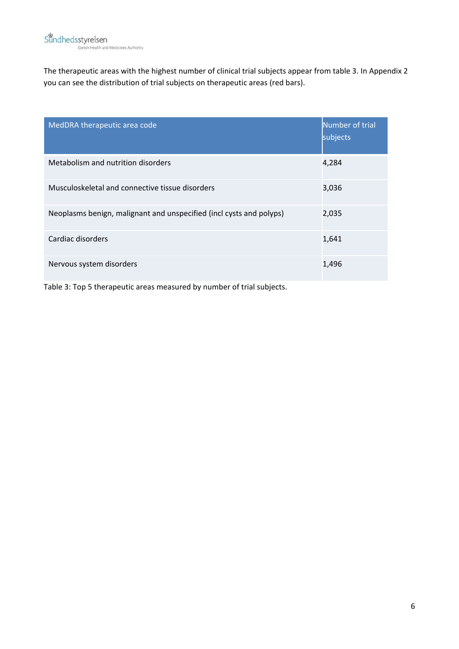The therapeutic areas with the highest number of clinical trial subjects appear from table 3. In Appendix 2 you can see the distribution of trial subjects on therapeutic areas (red bars).

| MedDRA therapeutic area code                                        | Number of trial<br>subjects |
|---------------------------------------------------------------------|-----------------------------|
| Metabolism and nutrition disorders                                  | 4,284                       |
| Musculoskeletal and connective tissue disorders                     | 3,036                       |
| Neoplasms benign, malignant and unspecified (incl cysts and polyps) | 2,035                       |
| Cardiac disorders                                                   | 1,641                       |
| Nervous system disorders                                            | 1,496                       |

Table 3: Top 5 therapeutic areas measured by number of trial subjects.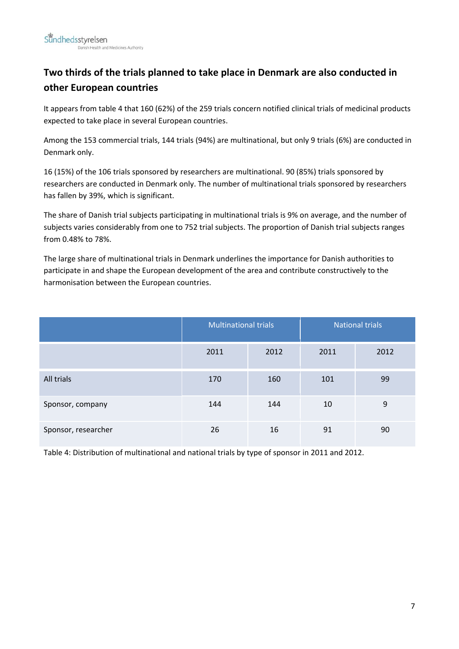# **Two thirds of the trials planned to take place in Denmark are also conducted in other European countries**

It appears from table 4 that 160 (62%) of the 259 trials concern notified clinical trials of medicinal products expected to take place in several European countries.

Among the 153 commercial trials, 144 trials (94%) are multinational, but only 9 trials (6%) are conducted in Denmark only.

16 (15%) of the 106 trials sponsored by researchers are multinational. 90 (85%) trials sponsored by researchers are conducted in Denmark only. The number of multinational trials sponsored by researchers has fallen by 39%, which is significant.

The share of Danish trial subjects participating in multinational trials is 9% on average, and the number of subjects varies considerably from one to 752 trial subjects. The proportion of Danish trial subjects ranges from 0.48% to 78%.

The large share of multinational trials in Denmark underlines the importance for Danish authorities to participate in and shape the European development of the area and contribute constructively to the harmonisation between the European countries.

|                     | <b>Multinational trials</b> |      | <b>National trials</b> |      |
|---------------------|-----------------------------|------|------------------------|------|
|                     | 2011                        | 2012 | 2011                   | 2012 |
| All trials          | 170                         | 160  | 101                    | 99   |
| Sponsor, company    | 144                         | 144  | 10                     | 9    |
| Sponsor, researcher | 26                          | 16   | 91                     | 90   |

Table 4: Distribution of multinational and national trials by type of sponsor in 2011 and 2012.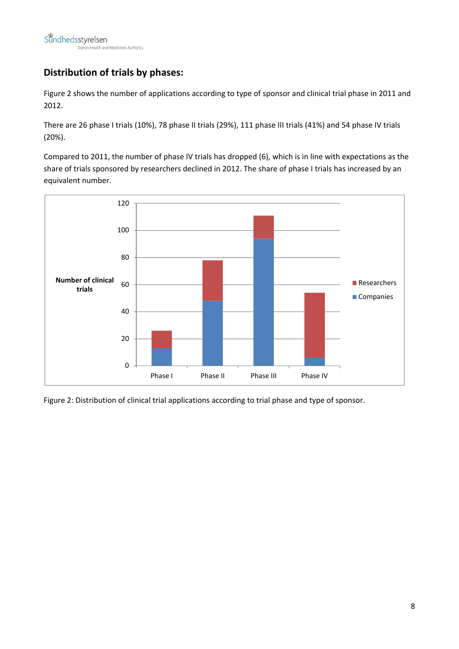## **Distribution of trials by phases:**

Figure 2 shows the number of applications according to type of sponsor and clinical trial phase in 2011 and 2012.

There are 26 phase I trials (10%), 78 phase II trials (29%), 111 phase III trials (41%) and 54 phase IV trials (20%).

Compared to 2011, the number of phase IV trials has dropped (6), which is in line with expectations as the share of trials sponsored by researchers declined in 2012. The share of phase I trials has increased by an equivalent number.



Figure 2: Distribution of clinical trial applications according to trial phase and type of sponsor.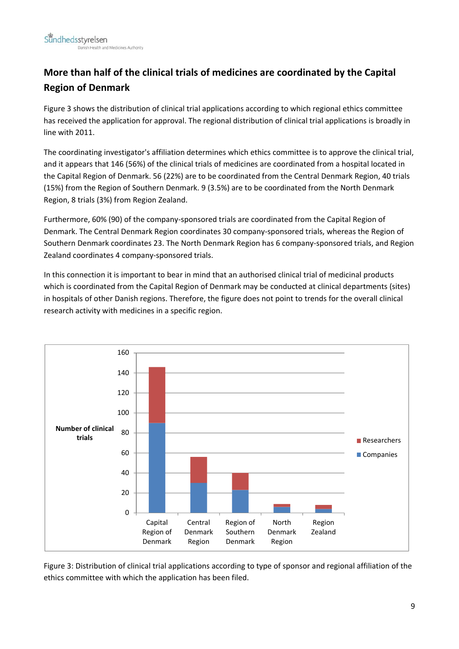# **More than half of the clinical trials of medicines are coordinated by the Capital Region of Denmark**

Figure 3 shows the distribution of clinical trial applications according to which regional ethics committee has received the application for approval. The regional distribution of clinical trial applications is broadly in line with 2011.

The coordinating investigator's affiliation determines which ethics committee is to approve the clinical trial, and it appears that 146 (56%) of the clinical trials of medicines are coordinated from a hospital located in the Capital Region of Denmark. 56 (22%) are to be coordinated from the Central Denmark Region, 40 trials (15%) from the Region of Southern Denmark. 9 (3.5%) are to be coordinated from the North Denmark Region, 8 trials (3%) from Region Zealand.

Furthermore, 60% (90) of the company‐sponsored trials are coordinated from the Capital Region of Denmark. The Central Denmark Region coordinates 30 company‐sponsored trials, whereas the Region of Southern Denmark coordinates 23. The North Denmark Region has 6 company‐sponsored trials, and Region Zealand coordinates 4 company‐sponsored trials.

In this connection it is important to bear in mind that an authorised clinical trial of medicinal products which is coordinated from the Capital Region of Denmark may be conducted at clinical departments (sites) in hospitals of other Danish regions. Therefore, the figure does not point to trends for the overall clinical research activity with medicines in a specific region.



Figure 3: Distribution of clinical trial applications according to type of sponsor and regional affiliation of the ethics committee with which the application has been filed.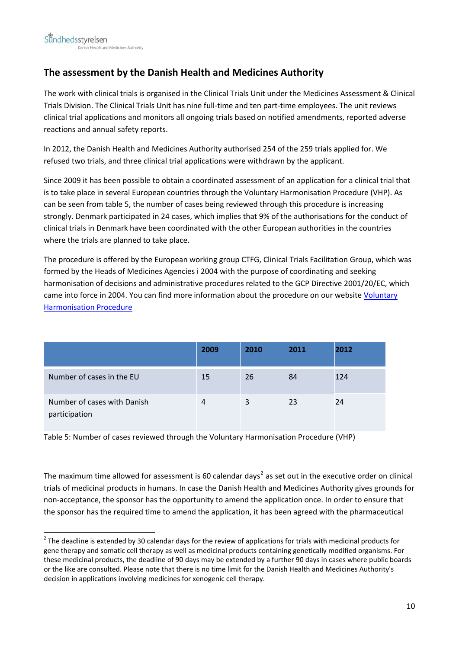## **The assessment by the Danish Health and Medicines Authority**

The work with clinical trials is organised in the Clinical Trials Unit under the Medicines Assessment & Clinical Trials Division. The Clinical Trials Unit has nine full‐time and ten part‐time employees. The unit reviews clinical trial applications and monitors all ongoing trials based on notified amendments, reported adverse reactions and annual safety reports.

In 2012, the Danish Health and Medicines Authority authorised 254 of the 259 trials applied for. We refused two trials, and three clinical trial applications were withdrawn by the applicant.

Since 2009 it has been possible to obtain a coordinated assessment of an application for a clinical trial that is to take place in several European countries through the Voluntary Harmonisation Procedure (VHP). As can be seen from table 5, the number of cases being reviewed through this procedure is increasing strongly. Denmark participated in 24 cases, which implies that 9% of the authorisations for the conduct of clinical trials in Denmark have been coordinated with the other European authorities in the countries where the trials are planned to take place.

The procedure is offered by the European working group CTFG, Clinical Trials Facilitation Group, which was formed by the Heads of Medicines Agencies i 2004 with the purpose of coordinating and seeking harmonisation of decisions and administrative procedures related to the GCP Directive 2001/20/EC, which came into force in 2004. You can find more information about the procedure on our website [Voluntary](http://www.dkma.dk/en/topics/side-effects-and-trials/clinical-trials/news/voluntary-harmonisation-procedure-vhp-fo--plications) [Harmonisation](http://www.dkma.dk/en/topics/side-effects-and-trials/clinical-trials/news/voluntary-harmonisation-procedure-vhp-fo--plications) Procedure

|                                              | 2009 | 2010 | 2011 | 2012 |
|----------------------------------------------|------|------|------|------|
| Number of cases in the EU                    | 15   | 26   | 84   | 124  |
| Number of cases with Danish<br>participation | 4    | 3    | 23   | 24   |

Table 5: Number of cases reviewed through the Voluntary Harmonisation Procedure (VHP)

The maximum time allowed for assessment is 60 calendar days<sup>[2](#page-9-0)</sup> as set out in the executive order on clinical trials of medicinal products in humans. In case the Danish Health and Medicines Authority gives grounds for non‐acceptance, the sponsor has the opportunity to amend the application once. In order to ensure that the sponsor has the required time to amend the application, it has been agreed with the pharmaceutical

<span id="page-9-0"></span> $2$  The deadline is extended by 30 calendar days for the review of applications for trials with medicinal products for gene therapy and somatic cell therapy as well as medicinal products containing genetically modified organisms. For these medicinal products, the deadline of 90 days may be extended by a further 90 days in cases where public boards or the like are consulted. Please note that there is no time limit for the Danish Health and Medicines Authority's decision in applications involving medicines for xenogenic cell therapy.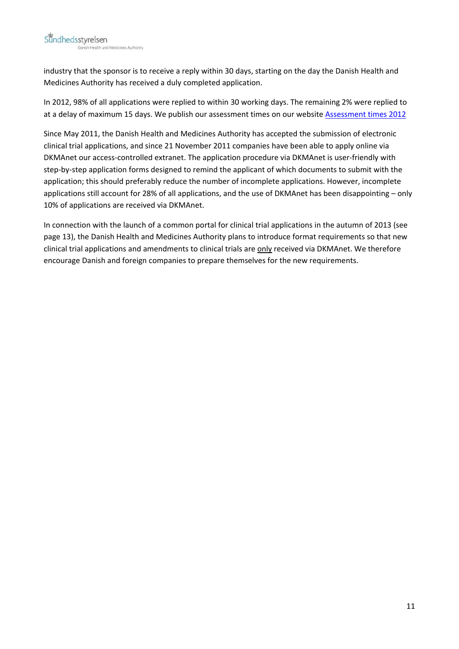industry that the sponsor is to receive a reply within 30 days, starting on the day the Danish Health and Medicines Authority has received a duly completed application.

In 2012, 98% of all applications were replied to within 30 working days. The remaining 2% were replied to at a delay of maximum 15 days. We publish our assessment times on our website [Assessment](http://www.dkma.dk/en/topics/side-effects-and-trials/clinical-trials/assessment-times/sagsbehandlingstider/assessment-times-for-notifications-of-cl--s-in-2012-) times 2012

Since May 2011, the Danish Health and Medicines Authority has accepted the submission of electronic clinical trial applications, and since 21 November 2011 companies have been able to apply online via DKMAnet our access-controlled extranet. The application procedure via DKMAnet is user-friendly with step-by-step application forms designed to remind the applicant of which documents to submit with the application; this should preferably reduce the number of incomplete applications. However, incomplete applications still account for 28% of all applications, and the use of DKMAnet has been disappointing – only 10% of applications are received via DKMAnet.

In connection with the launch of a common portal for clinical trial applications in the autumn of 2013 (see page 13), the Danish Health and Medicines Authority plans to introduce format requirements so that new clinical trial applications and amendments to clinical trials are only received via DKMAnet. We therefore encourage Danish and foreign companies to prepare themselves for the new requirements.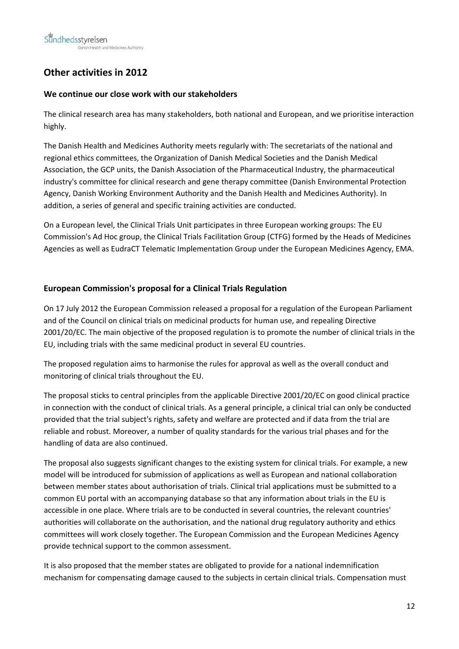# **Other activities in 2012**

#### **We continue our close work with our stakeholders**

The clinical research area has many stakeholders, both national and European, and we prioritise interaction highly.

The Danish Health and Medicines Authority meets regularly with: The secretariats of the national and regional ethics committees, the Organization of Danish Medical Societies and the Danish Medical Association, the GCP units, the Danish Association of the Pharmaceutical Industry, the pharmaceutical industry's committee for clinical research and gene therapy committee (Danish Environmental Protection Agency, Danish Working Environment Authority and the Danish Health and Medicines Authority). In addition, a series of general and specific training activities are conducted.

On a European level, the Clinical Trials Unit participates in three European working groups: The EU Commission's Ad Hoc group, the Clinical Trials Facilitation Group (CTFG) formed by the Heads of Medicines Agencies as well as EudraCT Telematic Implementation Group under the European Medicines Agency, EMA.

#### **European Commission's proposal for a Clinical Trials Regulation**

On 17 July 2012 the European Commission released a proposal for a regulation of the European Parliament and of the Council on clinical trials on medicinal products for human use, and repealing Directive 2001/20/EC. The main objective of the proposed regulation is to promote the number of clinical trials in the EU, including trials with the same medicinal product in several EU countries.

The proposed regulation aims to harmonise the rules for approval as well as the overall conduct and monitoring of clinical trials throughout the EU.

The proposal sticks to central principles from the applicable Directive 2001/20/EC on good clinical practice in connection with the conduct of clinical trials. As a general principle, a clinical trial can only be conducted provided that the trial subject's rights, safety and welfare are protected and if data from the trial are reliable and robust. Moreover, a number of quality standards for the various trial phases and for the handling of data are also continued.

The proposal also suggests significant changes to the existing system for clinical trials. For example, a new model will be introduced for submission of applications as well as European and national collaboration between member states about authorisation of trials. Clinical trial applications must be submitted to a common EU portal with an accompanying database so that any information about trials in the EU is accessible in one place. Where trials are to be conducted in several countries, the relevant countries' authorities will collaborate on the authorisation, and the national drug regulatory authority and ethics committees will work closely together. The European Commission and the European Medicines Agency provide technical support to the common assessment.

It is also proposed that the member states are obligated to provide for a national indemnification mechanism for compensating damage caused to the subjects in certain clinical trials. Compensation must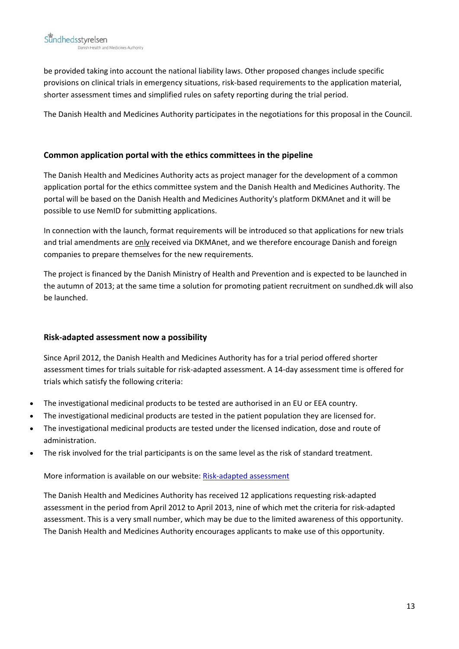be provided taking into account the national liability laws. Other proposed changes include specific provisions on clinical trials in emergency situations, risk‐based requirements to the application material, shorter assessment times and simplified rules on safety reporting during the trial period.

The Danish Health and Medicines Authority participates in the negotiations for this proposal in the Council.

#### **Common application portal with the ethics committees in the pipeline**

The Danish Health and Medicines Authority acts as project manager for the development of a common application portal for the ethics committee system and the Danish Health and Medicines Authority. The portal will be based on the Danish Health and Medicines Authority's platform DKMAnet and it will be possible to use NemID for submitting applications.

In connection with the launch, format requirements will be introduced so that applications for new trials and trial amendments are only received via DKMAnet, and we therefore encourage Danish and foreign companies to prepare themselves for the new requirements.

The project is financed by the Danish Ministry of Health and Prevention and is expected to be launched in the autumn of 2013; at the same time a solution for promoting patient recruitment on sundhed.dk will also be launched.

#### **Risk‐adapted assessment now a possibility**

Since April 2012, the Danish Health and Medicines Authority has for a trial period offered shorter assessment times for trials suitable for risk‐adapted assessment. A 14‐day assessment time is offered for trials which satisfy the following criteria:

- The investigational medicinal products to be tested are authorised in an EU or EEA country.
- The investigational medicinal products are tested in the patient population they are licensed for.
- The investigational medicinal products are tested under the licensed indication, dose and route of administration.
- The risk involved for the trial participants is on the same level as the risk of standard treatment.

More information is available on our website: Risk-adapted [assessment](http://laegemiddelstyrelsen.dk/en/topics/side-effects-and-trials/clinical-trials/trials-in-humans/vejledning-i-ansoegning-om-type-a-forsoeg.aspx)

The Danish Health and Medicines Authority has received 12 applications requesting risk‐adapted assessment in the period from April 2012 to April 2013, nine of which met the criteria for risk‐adapted assessment. This is a very small number, which may be due to the limited awareness of this opportunity. The Danish Health and Medicines Authority encourages applicants to make use of this opportunity.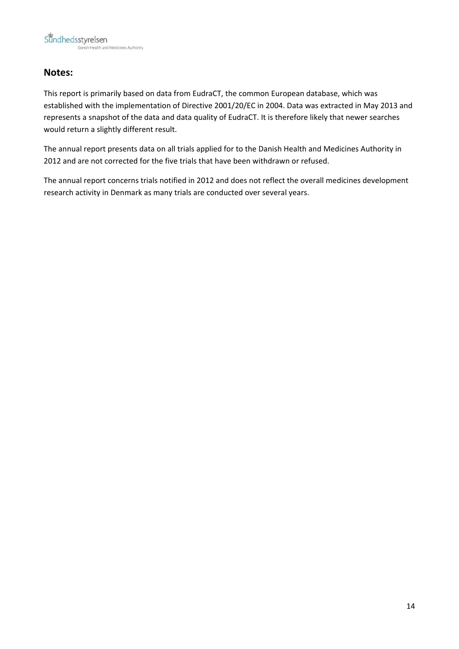### **Notes:**

This report is primarily based on data from EudraCT, the common European database, which was established with the implementation of Directive 2001/20/EC in 2004. Data was extracted in May 2013 and represents a snapshot of the data and data quality of EudraCT. It is therefore likely that newer searches would return a slightly different result.

The annual report presents data on all trials applied for to the Danish Health and Medicines Authority in 2012 and are not corrected for the five trials that have been withdrawn or refused.

The annual report concerns trials notified in 2012 and does not reflect the overall medicines development research activity in Denmark as many trials are conducted over several years.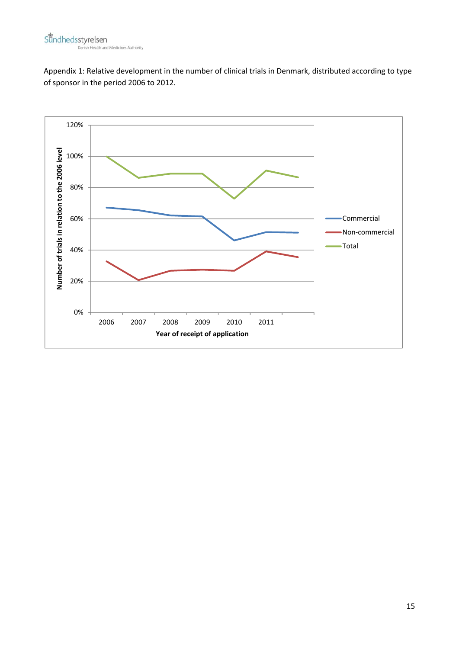Appendix 1: Relative development in the number of clinical trials in Denmark, distributed according to type of sponsor in the period 2006 to 2012.